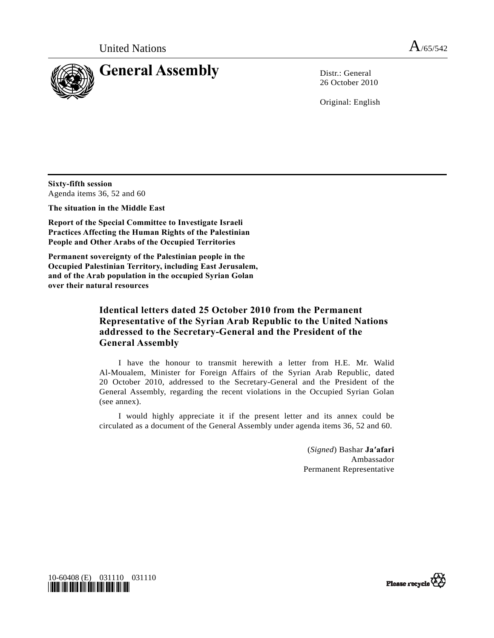

26 October 2010

Original: English

**Sixty-fifth session**  Agenda items 36, 52 and 60

**The situation in the Middle East** 

**Report of the Special Committee to Investigate Israeli Practices Affecting the Human Rights of the Palestinian People and Other Arabs of the Occupied Territories** 

**Permanent sovereignty of the Palestinian people in the Occupied Palestinian Territory, including East Jerusalem, and of the Arab population in the occupied Syrian Golan over their natural resources** 

## **Identical letters dated 25 October 2010 from the Permanent Representative of the Syrian Arab Republic to the United Nations addressed to the Secretary-General and the President of the General Assembly**

 I have the honour to transmit herewith a letter from H.E. Mr. Walid Al-Moualem, Minister for Foreign Affairs of the Syrian Arab Republic, dated 20 October 2010, addressed to the Secretary-General and the President of the General Assembly, regarding the recent violations in the Occupied Syrian Golan (see annex).

I would highly appreciate it if the present letter and its annex could be circulated as a document of the General Assembly under agenda items 36, 52 and 60.

> (*Signed*) Bashar **Ja′afari** Ambassador Permanent Representative



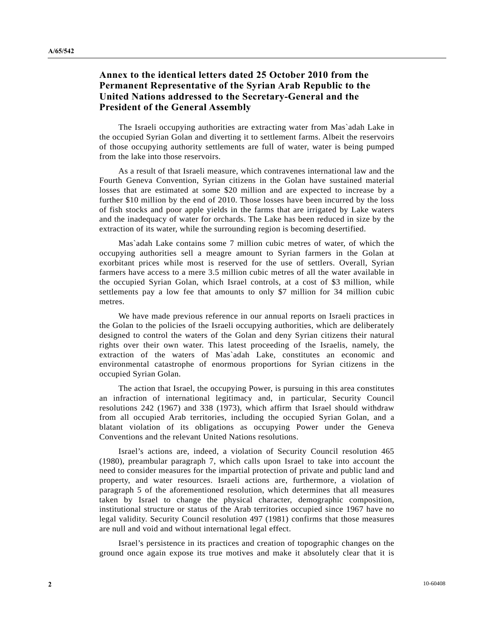## **Annex to the identical letters dated 25 October 2010 from the Permanent Representative of the Syrian Arab Republic to the United Nations addressed to the Secretary-General and the President of the General Assembly**

 The Israeli occupying authorities are extracting water from Mas`adah Lake in the occupied Syrian Golan and diverting it to settlement farms. Albeit the reservoirs of those occupying authority settlements are full of water, water is being pumped from the lake into those reservoirs.

 As a result of that Israeli measure, which contravenes international law and the Fourth Geneva Convention, Syrian citizens in the Golan have sustained material losses that are estimated at some \$20 million and are expected to increase by a further \$10 million by the end of 2010. Those losses have been incurred by the loss of fish stocks and poor apple yields in the farms that are irrigated by Lake waters and the inadequacy of water for orchards. The Lake has been reduced in size by the extraction of its water, while the surrounding region is becoming desertified.

 Mas`adah Lake contains some 7 million cubic metres of water, of which the occupying authorities sell a meagre amount to Syrian farmers in the Golan at exorbitant prices while most is reserved for the use of settlers. Overall, Syrian farmers have access to a mere 3.5 million cubic metres of all the water available in the occupied Syrian Golan, which Israel controls, at a cost of \$3 million, while settlements pay a low fee that amounts to only \$7 million for 34 million cubic metres.

 We have made previous reference in our annual reports on Israeli practices in the Golan to the policies of the Israeli occupying authorities, which are deliberately designed to control the waters of the Golan and deny Syrian citizens their natural rights over their own water. This latest proceeding of the Israelis, namely, the extraction of the waters of Mas`adah Lake, constitutes an economic and environmental catastrophe of enormous proportions for Syrian citizens in the occupied Syrian Golan.

 The action that Israel, the occupying Power, is pursuing in this area constitutes an infraction of international legitimacy and, in particular, Security Council resolutions 242 (1967) and 338 (1973), which affirm that Israel should withdraw from all occupied Arab territories, including the occupied Syrian Golan, and a blatant violation of its obligations as occupying Power under the Geneva Conventions and the relevant United Nations resolutions.

 Israel's actions are, indeed, a violation of Security Council resolution 465 (1980), preambular paragraph 7, which calls upon Israel to take into account the need to consider measures for the impartial protection of private and public land and property, and water resources. Israeli actions are, furthermore, a violation of paragraph 5 of the aforementioned resolution, which determines that all measures taken by Israel to change the physical character, demographic composition, institutional structure or status of the Arab territories occupied since 1967 have no legal validity. Security Council resolution 497 (1981) confirms that those measures are null and void and without international legal effect.

 Israel's persistence in its practices and creation of topographic changes on the ground once again expose its true motives and make it absolutely clear that it is